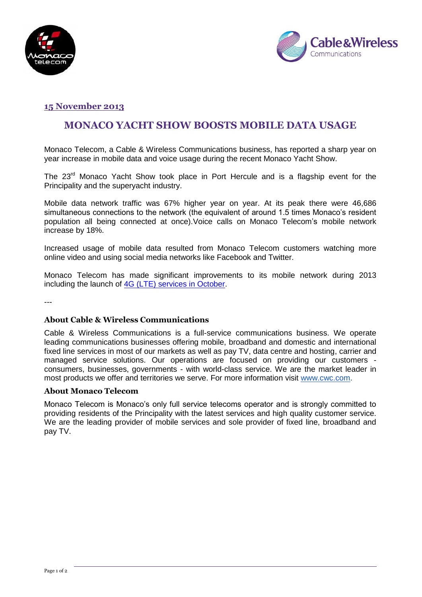



## **15 November 2013**

# **MONACO YACHT SHOW BOOSTS MOBILE DATA USAGE**

Monaco Telecom, a Cable & Wireless Communications business, has reported a sharp year on year increase in mobile data and voice usage during the recent Monaco Yacht Show.

The 23<sup>rd</sup> Monaco Yacht Show took place in Port Hercule and is a flagship event for the Principality and the superyacht industry.

Mobile data network traffic was 67% higher year on year. At its peak there were 46,686 simultaneous connections to the network (the equivalent of around 1.5 times Monaco's resident population all being connected at once).Voice calls on Monaco Telecom's mobile network increase by 18%.

Increased usage of mobile data resulted from Monaco Telecom customers watching more online video and using social media networks like Facebook and Twitter.

Monaco Telecom has made significant improvements to its mobile network during 2013 including the launch of [4G \(LTE\) services in October.](http://www.cwc.com/assets/uploads/files/CWC%20launches%204G%20LTE%20in%20Monaco%20final%20011013.pdf)

---

#### **About Cable & Wireless Communications**

Cable & Wireless Communications is a full-service communications business. We operate leading communications businesses offering mobile, broadband and domestic and international fixed line services in most of our markets as well as pay TV, data centre and hosting, carrier and managed service solutions. Our operations are focused on providing our customers consumers, businesses, governments - with world-class service. We are the market leader in most products we offer and territories we serve. For more information visit [www.cwc.com.](http://www.cwc.com/)

#### **About Monaco Telecom**

Monaco Telecom is Monaco's only full service telecoms operator and is strongly committed to providing residents of the Principality with the latest services and high quality customer service. We are the leading provider of mobile services and sole provider of fixed line, broadband and pay TV.